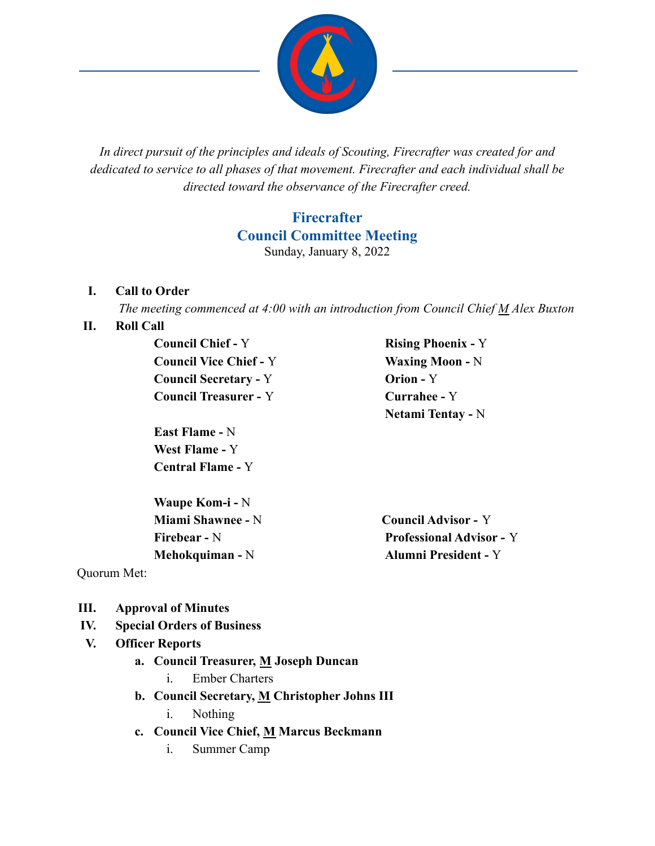

*In direct pursuit of the principles and ideals of Scouting, Firecrafter was created for and dedicated to service to all phases of that movement. Firecrafter and each individual shall be directed toward the observance of the Firecrafter creed.*

### **Firecrafter Council Committee Meeting** Sunday, January 8, 2022

#### **I. Call to Order**

*The meeting commenced at 4:00 with an introduction from Council Chief M Alex Buxton*

#### **II. Roll Call**

**Council Chief -** Y **Rising Phoenix -** Y **Council Vice Chief -** Y **Waxing Moon -** N **Council Secretary -** Y **Orion -** Y **Council Treasurer -** Y **Currahee -** Y

**East Flame -** N **West Flame -** Y **Central Flame -** Y

**Waupe Kom-i -** N **Miami Shawnee -** N **Council Advisor -** Y

**Netami Tentay -** N

**Firebear -** N **Professional Advisor -** Y **Mehokquiman -** N **Alumni President -** Y

Quorum Met:

- **III. Approval of Minutes**
- **IV. Special Orders of Business**

### **V. Officer Reports**

- **a. Council Treasurer, M Joseph Duncan**
	- i. Ember Charters
- **b. Council Secretary, M Christopher Johns III**
	- i. Nothing
- **c. Council Vice Chief, M Marcus Beckmann**
	- i. Summer Camp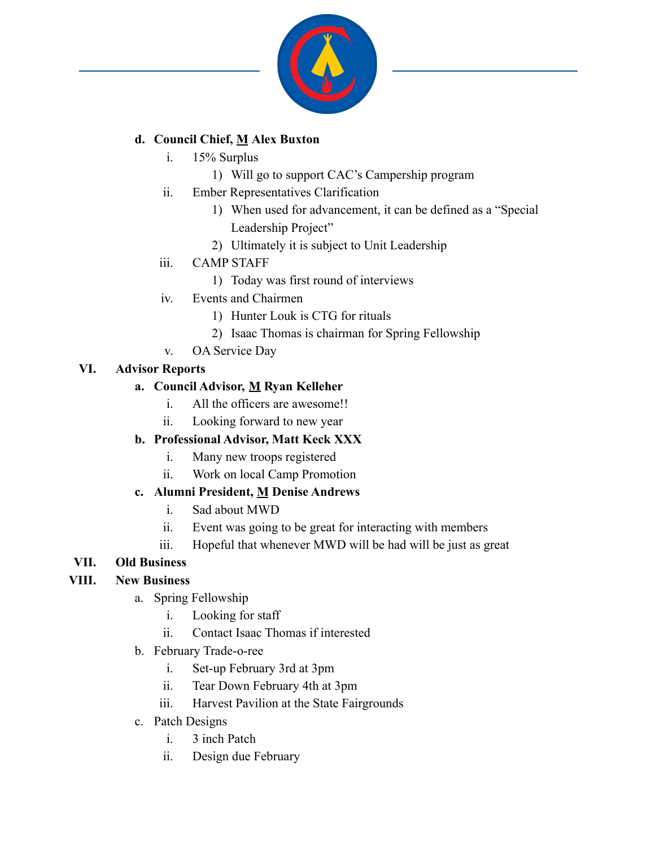

### **d. Council Chief, M Alex Buxton**

- i. 15% Surplus
	- 1) Will go to support CAC's Campership program
- ii. Ember Representatives Clarification
	- 1) When used for advancement, it can be defined as a "Special Leadership Project"
	- 2) Ultimately it is subject to Unit Leadership
- iii. CAMP STAFF
	- 1) Today was first round of interviews
- iv. Events and Chairmen
	- 1) Hunter Louk is CTG for rituals
	- 2) Isaac Thomas is chairman for Spring Fellowship
	- v. OA Service Day

### **VI. Advisor Reports**

### **a. Council Advisor, M Ryan Kelleher**

- i. All the officers are awesome!!
- ii. Looking forward to new year

# **b. Professional Advisor, Matt Keck XXX**

- i. Many new troops registered
- ii. Work on local Camp Promotion

# **c. Alumni President, M Denise Andrews**

- i. Sad about MWD
- ii. Event was going to be great for interacting with members
- iii. Hopeful that whenever MWD will be had will be just as great

# **VII. Old Business**

# **VIII. New Business**

- a. Spring Fellowship
	- i. Looking for staff
	- ii. Contact Isaac Thomas if interested
- b. February Trade-o-ree
	- i. Set-up February 3rd at 3pm
	- ii. Tear Down February 4th at 3pm
	- iii. Harvest Pavilion at the State Fairgrounds
- c. Patch Designs
	- i. 3 inch Patch
	- ii. Design due February